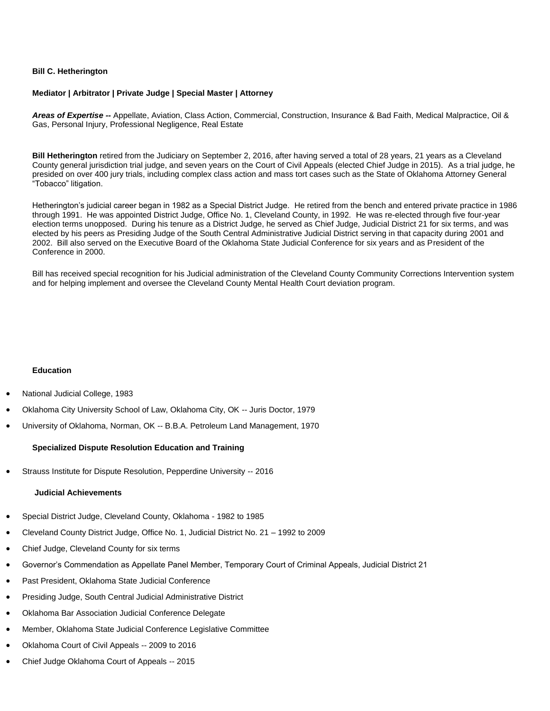## **Bill C. Hetherington**

# **Mediator | Arbitrator | Private Judge | Special Master | Attorney**

*Areas of Expertise --* Appellate, Aviation, Class Action, Commercial, Construction, Insurance & Bad Faith, Medical Malpractice, Oil & Gas, Personal Injury, Professional Negligence, Real Estate

**Bill Hetherington** retired from the Judiciary on September 2, 2016, after having served a total of 28 years, 21 years as a Cleveland County general jurisdiction trial judge, and seven years on the Court of Civil Appeals (elected Chief Judge in 2015). As a trial judge, he presided on over 400 jury trials, including complex class action and mass tort cases such as the State of Oklahoma Attorney General "Tobacco" litigation.

Hetherington's judicial career began in 1982 as a Special District Judge. He retired from the bench and entered private practice in 1986 through 1991. He was appointed District Judge, Office No. 1, Cleveland County, in 1992. He was re-elected through five four-year election terms unopposed. During his tenure as a District Judge, he served as Chief Judge, Judicial District 21 for six terms, and was elected by his peers as Presiding Judge of the South Central Administrative Judicial District serving in that capacity during 2001 and 2002. Bill also served on the Executive Board of the Oklahoma State Judicial Conference for six years and as President of the Conference in 2000.

Bill has received special recognition for his Judicial administration of the Cleveland County Community Corrections Intervention system and for helping implement and oversee the Cleveland County Mental Health Court deviation program.

# **Education**

- National Judicial College, 1983
- Oklahoma City University School of Law, Oklahoma City, OK -- Juris Doctor, 1979
- University of Oklahoma, Norman, OK -- B.B.A. Petroleum Land Management, 1970

#### **Specialized Dispute Resolution Education and Training**

Strauss Institute for Dispute Resolution, Pepperdine University -- 2016

### **Judicial Achievements**

- Special District Judge, Cleveland County, Oklahoma 1982 to 1985
- Cleveland County District Judge, Office No. 1, Judicial District No. 21 1992 to 2009
- Chief Judge, Cleveland County for six terms
- Governor's Commendation as Appellate Panel Member, Temporary Court of Criminal Appeals, Judicial District 21
- Past President, Oklahoma State Judicial Conference
- Presiding Judge, South Central Judicial Administrative District
- Oklahoma Bar Association Judicial Conference Delegate
- Member, Oklahoma State Judicial Conference Legislative Committee
- Oklahoma Court of Civil Appeals -- 2009 to 2016
- Chief Judge Oklahoma Court of Appeals -- 2015